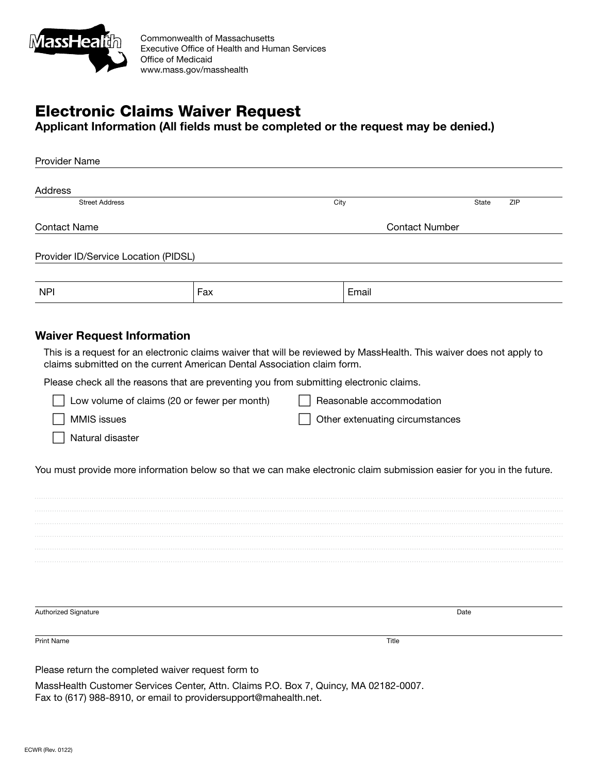

Commonwealth of Massachusetts Executive Office of Health and Human Services Office of Medicaid www.mass.gov/masshealth

## Electronic Claims Waiver Request

Applicant Information (All fields must be completed or the request may be denied.)

| <b>Provider Name</b>                         |                                                                                         |                                 |                                                                                                                       |
|----------------------------------------------|-----------------------------------------------------------------------------------------|---------------------------------|-----------------------------------------------------------------------------------------------------------------------|
| Address                                      |                                                                                         |                                 |                                                                                                                       |
| <b>Street Address</b>                        |                                                                                         | City                            | ZIP<br>State                                                                                                          |
| <b>Contact Name</b>                          |                                                                                         | <b>Contact Number</b>           |                                                                                                                       |
| Provider ID/Service Location (PIDSL)         |                                                                                         |                                 |                                                                                                                       |
|                                              |                                                                                         |                                 |                                                                                                                       |
| <b>NPI</b>                                   | Fax                                                                                     | Email                           |                                                                                                                       |
|                                              |                                                                                         |                                 |                                                                                                                       |
| <b>Waiver Request Information</b>            |                                                                                         |                                 | This is a request for an electronic claims waiver that will be reviewed by MassHealth. This waiver does not apply to  |
|                                              | claims submitted on the current American Dental Association claim form.                 |                                 |                                                                                                                       |
|                                              | Please check all the reasons that are preventing you from submitting electronic claims. |                                 |                                                                                                                       |
| Low volume of claims (20 or fewer per month) |                                                                                         | Reasonable accommodation        |                                                                                                                       |
| <b>MMIS</b> issues                           |                                                                                         | Other extenuating circumstances |                                                                                                                       |
| Natural disaster                             |                                                                                         |                                 |                                                                                                                       |
|                                              |                                                                                         |                                 | You must provide more information below so that we can make electronic claim submission easier for you in the future. |
|                                              |                                                                                         |                                 |                                                                                                                       |
|                                              |                                                                                         |                                 |                                                                                                                       |
|                                              |                                                                                         |                                 |                                                                                                                       |
|                                              |                                                                                         |                                 |                                                                                                                       |
|                                              |                                                                                         |                                 |                                                                                                                       |
|                                              |                                                                                         |                                 |                                                                                                                       |
|                                              |                                                                                         |                                 |                                                                                                                       |
| Authorized Signature                         |                                                                                         |                                 | Date                                                                                                                  |
| <b>Print Name</b>                            |                                                                                         | Title                           |                                                                                                                       |
|                                              | Please return the completed waiver request form to                                      |                                 |                                                                                                                       |
|                                              | MassHealth Customer Services Center, Attn. Claims P.O. Box 7, Quincy, MA 02182-0007.    |                                 |                                                                                                                       |
|                                              | Fax to (617) 988-8910, or email to providersupport@mahealth.net.                        |                                 |                                                                                                                       |